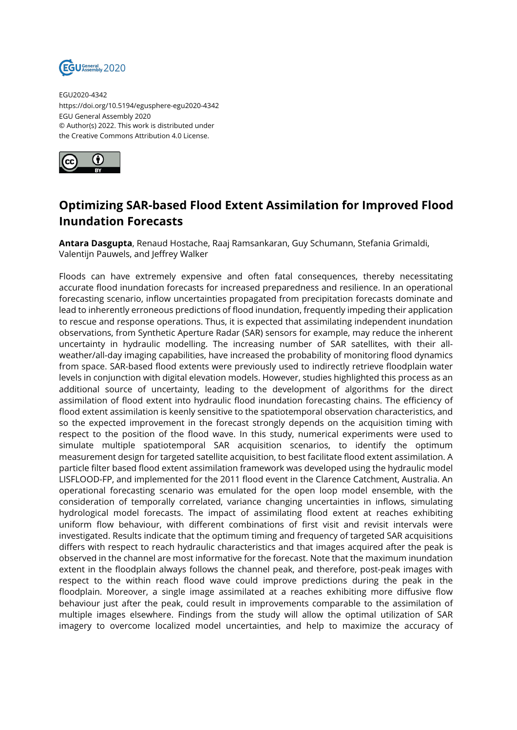

EGU2020-4342 https://doi.org/10.5194/egusphere-egu2020-4342 EGU General Assembly 2020 © Author(s) 2022. This work is distributed under the Creative Commons Attribution 4.0 License.



## **Optimizing SAR-based Flood Extent Assimilation for Improved Flood Inundation Forecasts**

**Antara Dasgupta**, Renaud Hostache, Raaj Ramsankaran, Guy Schumann, Stefania Grimaldi, Valentijn Pauwels, and Jeffrey Walker

Floods can have extremely expensive and often fatal consequences, thereby necessitating accurate flood inundation forecasts for increased preparedness and resilience. In an operational forecasting scenario, inflow uncertainties propagated from precipitation forecasts dominate and lead to inherently erroneous predictions of flood inundation, frequently impeding their application to rescue and response operations. Thus, it is expected that assimilating independent inundation observations, from Synthetic Aperture Radar (SAR) sensors for example, may reduce the inherent uncertainty in hydraulic modelling. The increasing number of SAR satellites, with their allweather/all-day imaging capabilities, have increased the probability of monitoring flood dynamics from space. SAR-based flood extents were previously used to indirectly retrieve floodplain water levels in conjunction with digital elevation models. However, studies highlighted this process as an additional source of uncertainty, leading to the development of algorithms for the direct assimilation of flood extent into hydraulic flood inundation forecasting chains. The efficiency of flood extent assimilation is keenly sensitive to the spatiotemporal observation characteristics, and so the expected improvement in the forecast strongly depends on the acquisition timing with respect to the position of the flood wave. In this study, numerical experiments were used to simulate multiple spatiotemporal SAR acquisition scenarios, to identify the optimum measurement design for targeted satellite acquisition, to best facilitate flood extent assimilation. A particle filter based flood extent assimilation framework was developed using the hydraulic model LISFLOOD-FP, and implemented for the 2011 flood event in the Clarence Catchment, Australia. An operational forecasting scenario was emulated for the open loop model ensemble, with the consideration of temporally correlated, variance changing uncertainties in inflows, simulating hydrological model forecasts. The impact of assimilating flood extent at reaches exhibiting uniform flow behaviour, with different combinations of first visit and revisit intervals were investigated. Results indicate that the optimum timing and frequency of targeted SAR acquisitions differs with respect to reach hydraulic characteristics and that images acquired after the peak is observed in the channel are most informative for the forecast. Note that the maximum inundation extent in the floodplain always follows the channel peak, and therefore, post-peak images with respect to the within reach flood wave could improve predictions during the peak in the floodplain. Moreover, a single image assimilated at a reaches exhibiting more diffusive flow behaviour just after the peak, could result in improvements comparable to the assimilation of multiple images elsewhere. Findings from the study will allow the optimal utilization of SAR imagery to overcome localized model uncertainties, and help to maximize the accuracy of